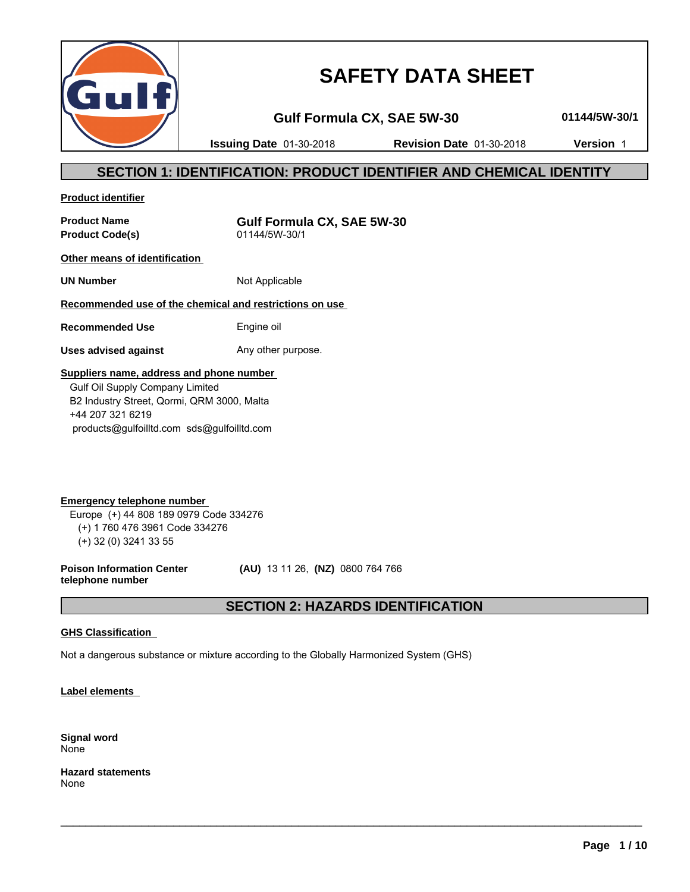

# **SAFETY DATA SHEET**

**Gulf Formula CX, SAE 5W-30 01144/5W-30/1**

**Issuing Date** 01-30-2018 **Revision Date** 01-30-2018 **Version** 1

# **SECTION 1: IDENTIFICATION: PRODUCT IDENTIFIER AND CHEMICAL IDENTITY**

**Product identifier**

**Product Code(s)** 

**Product Name**<br> **Product Code(s)**<br> **Product Code(s)**<br> **Gulf Formula CX, SAE 5W-30** 

**Other means of identification** 

**UN Number** Not Applicable

## **Recommended use of the chemical and restrictions on use**

**Recommended Use** Engine oil

**Uses advised against** Any other purpose.

### **Suppliers name, address and phone number**

 Gulf Oil Supply Company Limited B2 Industry Street, Qormi, QRM 3000, Malta +44 207 321 6219 products@gulfoilltd.com sds@gulfoilltd.com

**Emergency telephone number**  Europe (+) 44 808 189 0979 Code 334276 (+) 1 760 476 3961 Code 334276 (+) 32 (0) 3241 33 55

**Poison Information Center telephone number**

 **(AU)** 13 11 26, **(NZ)** 0800 764 766

# **SECTION 2: HAZARDS IDENTIFICATION**

 $\_$  ,  $\_$  ,  $\_$  ,  $\_$  ,  $\_$  ,  $\_$  ,  $\_$  ,  $\_$  ,  $\_$  ,  $\_$  ,  $\_$  ,  $\_$  ,  $\_$  ,  $\_$  ,  $\_$  ,  $\_$  ,  $\_$  ,  $\_$  ,  $\_$  ,  $\_$  ,  $\_$  ,  $\_$  ,  $\_$  ,  $\_$  ,  $\_$  ,  $\_$  ,  $\_$  ,  $\_$  ,  $\_$  ,  $\_$  ,  $\_$  ,  $\_$  ,  $\_$  ,  $\_$  ,  $\_$  ,  $\_$  ,  $\_$  ,

### **GHS Classification**

Not a dangerous substance or mixture according to the Globally Harmonized System (GHS)

**Label elements** 

**Signal word** None

**Hazard statements** None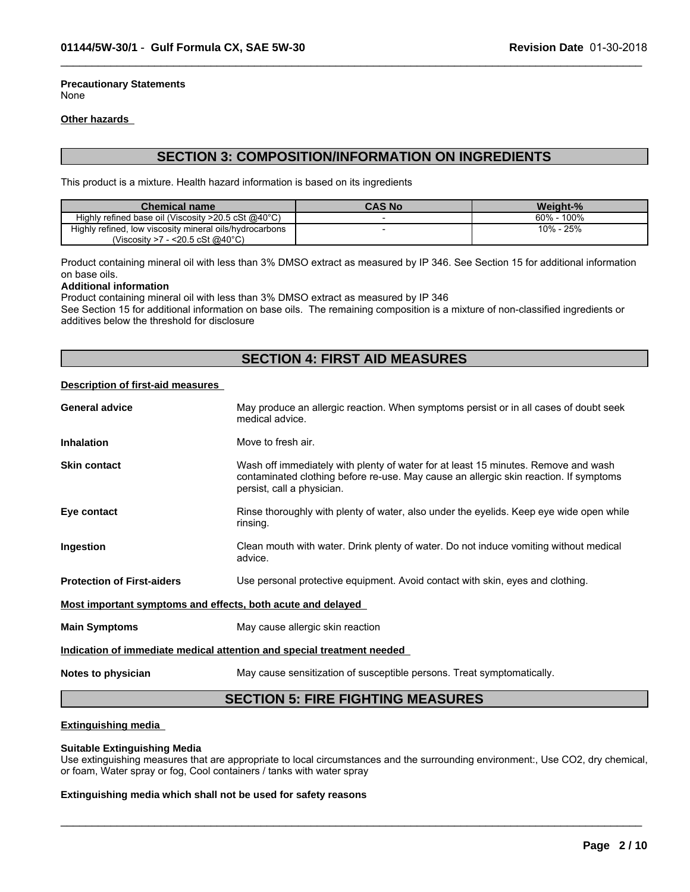**Precautionary Statements** None

#### **Other hazards**

# **SECTION 3: COMPOSITION/INFORMATION ON INGREDIENTS**

 $\_$  ,  $\_$  ,  $\_$  ,  $\_$  ,  $\_$  ,  $\_$  ,  $\_$  ,  $\_$  ,  $\_$  ,  $\_$  ,  $\_$  ,  $\_$  ,  $\_$  ,  $\_$  ,  $\_$  ,  $\_$  ,  $\_$  ,  $\_$  ,  $\_$  ,  $\_$  ,  $\_$  ,  $\_$  ,  $\_$  ,  $\_$  ,  $\_$  ,  $\_$  ,  $\_$  ,  $\_$  ,  $\_$  ,  $\_$  ,  $\_$  ,  $\_$  ,  $\_$  ,  $\_$  ,  $\_$  ,  $\_$  ,  $\_$  ,

This product is a mixture. Health hazard information is based on its ingredients

| <b>Chemical name</b>                                                                  | <b>CAS No</b> | Weight-%         |
|---------------------------------------------------------------------------------------|---------------|------------------|
| Highly refined base oil (Viscosity $>20.5 \text{ cSt} \text{ @}40^{\circ} \text{C}$ ) |               | 100%<br>$60\%$ - |
| Highly refined,<br>, low viscosity mineral oils/hydrocarbons                          |               | 10% - 25%        |
| $-$ <20.5 cSt @40°C)<br>(Viscositv >7                                                 |               |                  |

Product containing mineral oil with less than 3% DMSO extract as measured by IP 346. See Section 15 for additional information on base oils.

#### **Additional information**

Product containing mineral oil with less than 3% DMSO extract as measured by IP 346

See Section 15 for additional information on base oils. The remaining composition is a mixture of non-classified ingredients or additives below the threshold for disclosure

# **SECTION 4: FIRST AID MEASURES**

#### **Description of first-aid measures**

| <b>General advice</b>                                       | May produce an allergic reaction. When symptoms persist or in all cases of doubt seek<br>medical advice.                                                                                                  |
|-------------------------------------------------------------|-----------------------------------------------------------------------------------------------------------------------------------------------------------------------------------------------------------|
| <b>Inhalation</b>                                           | Move to fresh air.                                                                                                                                                                                        |
| <b>Skin contact</b>                                         | Wash off immediately with plenty of water for at least 15 minutes. Remove and wash<br>contaminated clothing before re-use. May cause an allergic skin reaction. If symptoms<br>persist, call a physician. |
| Eye contact                                                 | Rinse thoroughly with plenty of water, also under the eyelids. Keep eye wide open while<br>rinsing.                                                                                                       |
| Ingestion                                                   | Clean mouth with water. Drink plenty of water. Do not induce vomiting without medical<br>advice.                                                                                                          |
| <b>Protection of First-aiders</b>                           | Use personal protective equipment. Avoid contact with skin, eyes and clothing.                                                                                                                            |
| Most important symptoms and effects, both acute and delayed |                                                                                                                                                                                                           |
| <b>Main Symptoms</b>                                        | May cause allergic skin reaction                                                                                                                                                                          |
|                                                             | Indication of immediate medical attention and special treatment needed                                                                                                                                    |
| Notes to physician                                          | May cause sensitization of susceptible persons. Treat symptomatically.                                                                                                                                    |

# **SECTION 5: FIRE FIGHTING MEASURES**

#### **Extinguishing media**

#### **Suitable Extinguishing Media**

Use extinguishing measures that are appropriate to local circumstances and the surrounding environment:, Use CO2, dry chemical, or foam, Water spray or fog, Cool containers / tanks with water spray

 $\_$  ,  $\_$  ,  $\_$  ,  $\_$  ,  $\_$  ,  $\_$  ,  $\_$  ,  $\_$  ,  $\_$  ,  $\_$  ,  $\_$  ,  $\_$  ,  $\_$  ,  $\_$  ,  $\_$  ,  $\_$  ,  $\_$  ,  $\_$  ,  $\_$  ,  $\_$  ,  $\_$  ,  $\_$  ,  $\_$  ,  $\_$  ,  $\_$  ,  $\_$  ,  $\_$  ,  $\_$  ,  $\_$  ,  $\_$  ,  $\_$  ,  $\_$  ,  $\_$  ,  $\_$  ,  $\_$  ,  $\_$  ,  $\_$  ,

#### **Extinguishing media which shall not be used for safety reasons**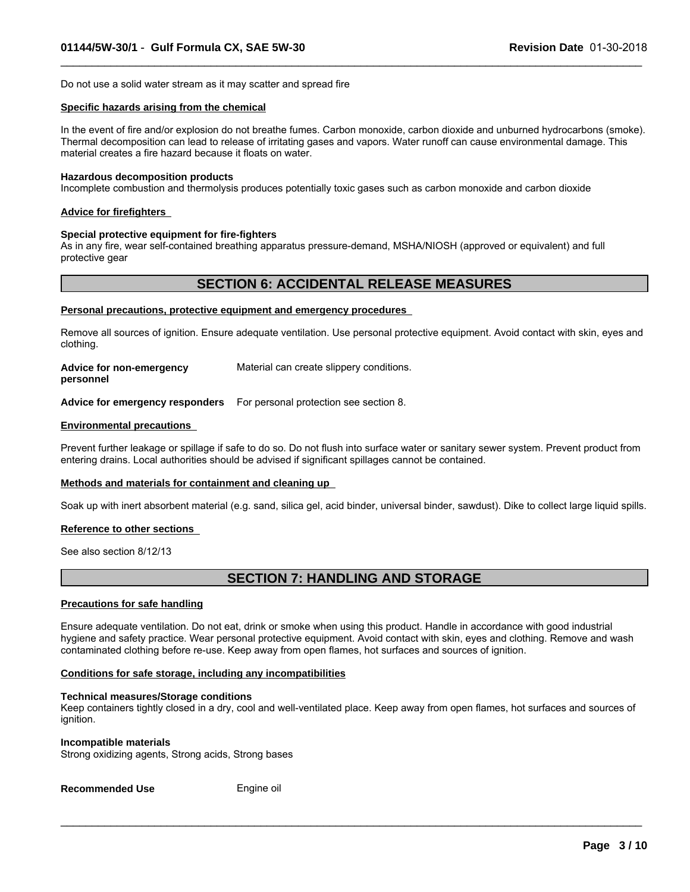Do not use a solid water stream as it may scatter and spread fire

#### **Specific hazards arising from the chemical**

In the event of fire and/or explosion do not breathe fumes. Carbon monoxide, carbon dioxide and unburned hydrocarbons (smoke). Thermal decomposition can lead to release of irritating gases and vapors. Water runoff can cause environmental damage. This material creates a fire hazard because it floats on water.

 $\_$  ,  $\_$  ,  $\_$  ,  $\_$  ,  $\_$  ,  $\_$  ,  $\_$  ,  $\_$  ,  $\_$  ,  $\_$  ,  $\_$  ,  $\_$  ,  $\_$  ,  $\_$  ,  $\_$  ,  $\_$  ,  $\_$  ,  $\_$  ,  $\_$  ,  $\_$  ,  $\_$  ,  $\_$  ,  $\_$  ,  $\_$  ,  $\_$  ,  $\_$  ,  $\_$  ,  $\_$  ,  $\_$  ,  $\_$  ,  $\_$  ,  $\_$  ,  $\_$  ,  $\_$  ,  $\_$  ,  $\_$  ,  $\_$  ,

#### **Hazardous decomposition products**

Incomplete combustion and thermolysis produces potentially toxic gases such as carbon monoxide and carbon dioxide

#### **Advice for firefighters**

#### **Special protective equipment for fire-fighters**

As in any fire, wear self-contained breathing apparatus pressure-demand, MSHA/NIOSH (approved or equivalent) and full protective gear

## **SECTION 6: ACCIDENTAL RELEASE MEASURES**

#### **Personal precautions, protective equipment and emergency procedures**

Remove all sources of ignition. Ensure adequate ventilation. Use personal protective equipment. Avoid contact with skin, eyes and clothing.

**Advice for non-emergency personnel** Material can create slippery conditions.

**Advice for emergency responders** For personal protection see section 8.

#### **Environmental precautions**

Prevent further leakage or spillage if safe to do so. Do not flush into surface water or sanitary sewer system. Prevent product from entering drains. Local authorities should be advised if significant spillages cannot be contained.

#### **Methods and materials for containment and cleaning up**

Soak up with inert absorbent material (e.g. sand, silica gel, acid binder, universal binder, sawdust). Dike to collect large liquid spills.

#### **Reference to other sections**

See also section 8/12/13

# **SECTION 7: HANDLING AND STORAGE**

#### **Precautions for safe handling**

Ensure adequate ventilation. Do not eat, drink or smoke when using this product. Handle in accordance with good industrial hygiene and safety practice. Wear personal protective equipment. Avoid contact with skin, eyes and clothing. Remove and wash contaminated clothing before re-use. Keep away from open flames, hot surfaces and sources of ignition.

#### **Conditions for safe storage, including any incompatibilities**

#### **Technical measures/Storage conditions**

Keep containers tightly closed in a dry, cool and well-ventilated place. Keep away from open flames, hot surfaces and sources of ignition.

 $\_$  ,  $\_$  ,  $\_$  ,  $\_$  ,  $\_$  ,  $\_$  ,  $\_$  ,  $\_$  ,  $\_$  ,  $\_$  ,  $\_$  ,  $\_$  ,  $\_$  ,  $\_$  ,  $\_$  ,  $\_$  ,  $\_$  ,  $\_$  ,  $\_$  ,  $\_$  ,  $\_$  ,  $\_$  ,  $\_$  ,  $\_$  ,  $\_$  ,  $\_$  ,  $\_$  ,  $\_$  ,  $\_$  ,  $\_$  ,  $\_$  ,  $\_$  ,  $\_$  ,  $\_$  ,  $\_$  ,  $\_$  ,  $\_$  ,

#### **Incompatible materials**

Strong oxidizing agents, Strong acids, Strong bases

**Recommended Use** Engine oil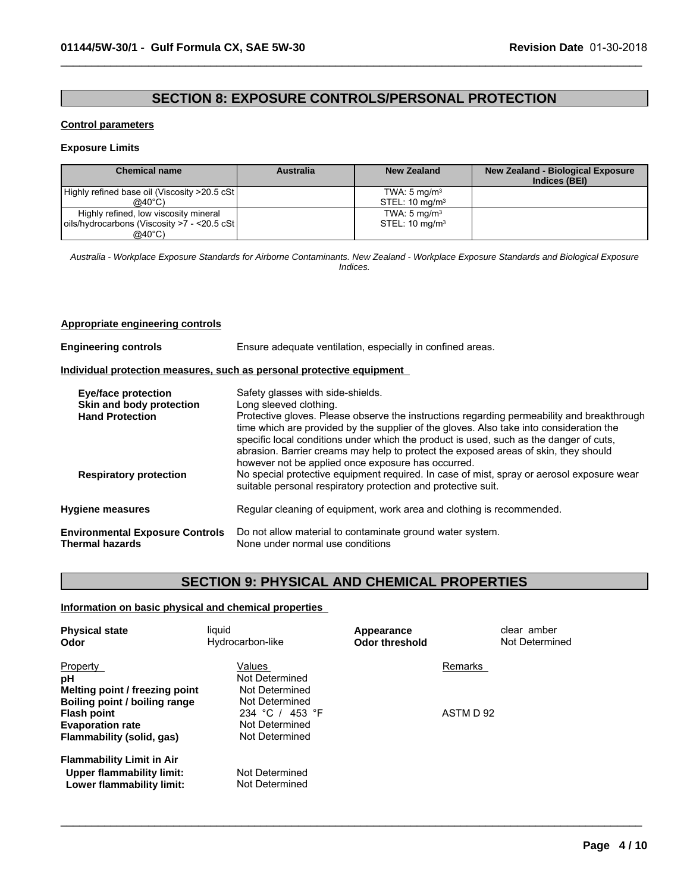# **SECTION 8: EXPOSURE CONTROLS/PERSONAL PROTECTION**

 $\_$  ,  $\_$  ,  $\_$  ,  $\_$  ,  $\_$  ,  $\_$  ,  $\_$  ,  $\_$  ,  $\_$  ,  $\_$  ,  $\_$  ,  $\_$  ,  $\_$  ,  $\_$  ,  $\_$  ,  $\_$  ,  $\_$  ,  $\_$  ,  $\_$  ,  $\_$  ,  $\_$  ,  $\_$  ,  $\_$  ,  $\_$  ,  $\_$  ,  $\_$  ,  $\_$  ,  $\_$  ,  $\_$  ,  $\_$  ,  $\_$  ,  $\_$  ,  $\_$  ,  $\_$  ,  $\_$  ,  $\_$  ,  $\_$  ,

#### **Control parameters**

#### **Exposure Limits**

| <b>Chemical name</b>                          | <b>Australia</b> | New Zealand               | <b>New Zealand - Biological Exposure</b><br>Indices (BEI) |
|-----------------------------------------------|------------------|---------------------------|-----------------------------------------------------------|
| Highly refined base oil (Viscosity >20.5 cSt) |                  | TWA: $5 \text{ mg/m}^3$   |                                                           |
| $@40^{\circ}$ C)                              |                  | STEL: $10 \text{ mg/m}^3$ |                                                           |
| Highly refined, low viscosity mineral         |                  | TWA: $5 \text{ mg/m}^3$   |                                                           |
| oils/hydrocarbons (Viscosity >7 - <20.5 cSt   |                  | STEL: $10 \text{ mg/m}^3$ |                                                           |
| $@40^{\circ}$ C)                              |                  |                           |                                                           |

*Australia - Workplace Exposure Standards for Airborne Contaminants. New Zealand - Workplace Exposure Standards and Biological Exposure Indices.*

#### **Appropriate engineering controls**

| <b>Engineering controls</b>                                                                                       | Ensure adequate ventilation, especially in confined areas.                                                                                                                                                                                                                                                                                                                                                                                                                                                                                                                               |  |  |  |  |
|-------------------------------------------------------------------------------------------------------------------|------------------------------------------------------------------------------------------------------------------------------------------------------------------------------------------------------------------------------------------------------------------------------------------------------------------------------------------------------------------------------------------------------------------------------------------------------------------------------------------------------------------------------------------------------------------------------------------|--|--|--|--|
|                                                                                                                   | Individual protection measures, such as personal protective equipment                                                                                                                                                                                                                                                                                                                                                                                                                                                                                                                    |  |  |  |  |
| <b>Eye/face protection</b><br>Skin and body protection<br><b>Hand Protection</b><br><b>Respiratory protection</b> | Safety glasses with side-shields.<br>Long sleeved clothing.<br>Protective gloves. Please observe the instructions regarding permeability and breakthrough<br>time which are provided by the supplier of the gloves. Also take into consideration the<br>specific local conditions under which the product is used, such as the danger of cuts,<br>abrasion. Barrier creams may help to protect the exposed areas of skin, they should<br>however not be applied once exposure has occurred.<br>No special protective equipment required. In case of mist, spray or aerosol exposure wear |  |  |  |  |
| <b>Hygiene measures</b>                                                                                           | suitable personal respiratory protection and protective suit.<br>Regular cleaning of equipment, work area and clothing is recommended.                                                                                                                                                                                                                                                                                                                                                                                                                                                   |  |  |  |  |
| <b>Environmental Exposure Controls</b>                                                                            | Do not allow material to contaminate ground water system.                                                                                                                                                                                                                                                                                                                                                                                                                                                                                                                                |  |  |  |  |
| <b>Thermal hazards</b>                                                                                            | None under normal use conditions                                                                                                                                                                                                                                                                                                                                                                                                                                                                                                                                                         |  |  |  |  |

# **SECTION 9: PHYSICAL AND CHEMICAL PROPERTIES**

 $\_$  ,  $\_$  ,  $\_$  ,  $\_$  ,  $\_$  ,  $\_$  ,  $\_$  ,  $\_$  ,  $\_$  ,  $\_$  ,  $\_$  ,  $\_$  ,  $\_$  ,  $\_$  ,  $\_$  ,  $\_$  ,  $\_$  ,  $\_$  ,  $\_$  ,  $\_$  ,  $\_$  ,  $\_$  ,  $\_$  ,  $\_$  ,  $\_$  ,  $\_$  ,  $\_$  ,  $\_$  ,  $\_$  ,  $\_$  ,  $\_$  ,  $\_$  ,  $\_$  ,  $\_$  ,  $\_$  ,  $\_$  ,  $\_$  ,

### **Information on basic physical and chemical properties**

| <b>Physical state</b><br>Odor                                                              | liquid<br>Hydrocarbon-like        | Appearance<br><b>Odor threshold</b> | clear amber<br>Not Determined |
|--------------------------------------------------------------------------------------------|-----------------------------------|-------------------------------------|-------------------------------|
| <b>Property</b><br>pH                                                                      | Values<br>Not Determined          | Remarks                             |                               |
| Melting point / freezing point<br>Boiling point / boiling range                            | Not Determined<br>Not Determined  |                                     |                               |
| <b>Flash point</b><br><b>Evaporation rate</b>                                              | 234 °C / 453 °F<br>Not Determined | ASTM D 92                           |                               |
| Flammability (solid, gas)                                                                  | Not Determined                    |                                     |                               |
| <b>Flammability Limit in Air</b><br>Upper flammability limit:<br>Lower flammability limit: | Not Determined<br>Not Determined  |                                     |                               |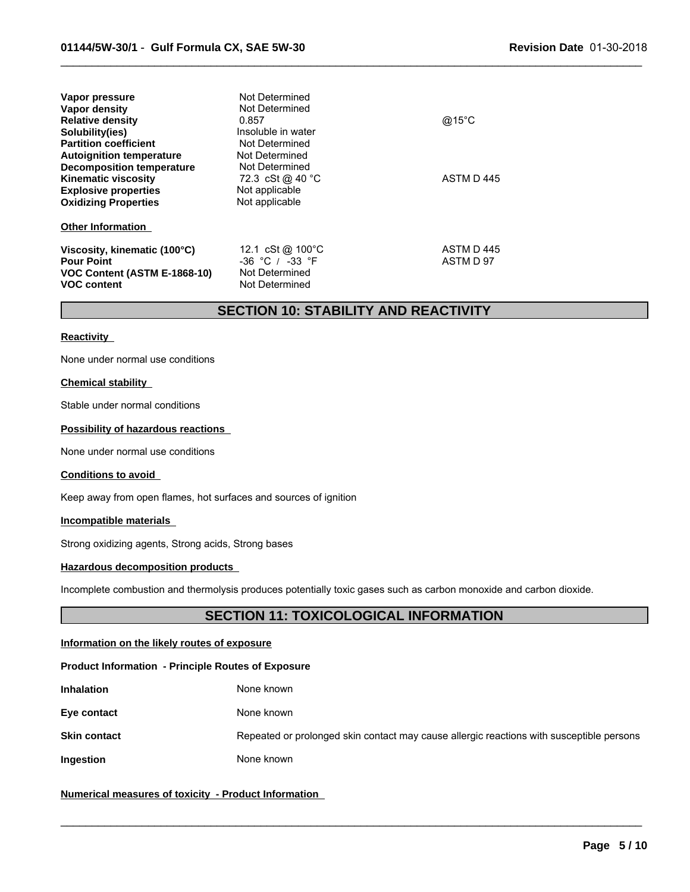| Vapor pressure<br>Vapor density<br><b>Relative density</b><br>Solubility(ies)<br><b>Partition coefficient</b><br><b>Autoignition temperature</b><br>Decomposition temperature<br><b>Kinematic viscosity</b><br><b>Explosive properties</b><br><b>Oxidizing Properties</b> | Not Determined<br>Not Determined<br>0.857<br>Insoluble in water<br>Not Determined<br>Not Determined<br>Not Determined<br>72.3 cSt @ 40 °C<br>Not applicable<br>Not applicable | @15 $^{\circ}$ C<br>ASTM D445 |
|---------------------------------------------------------------------------------------------------------------------------------------------------------------------------------------------------------------------------------------------------------------------------|-------------------------------------------------------------------------------------------------------------------------------------------------------------------------------|-------------------------------|
| <b>Other Information</b>                                                                                                                                                                                                                                                  |                                                                                                                                                                               |                               |
| Viscosity, kinematic (100°C)<br><b>Pour Point</b><br>VOC Content (ASTM E-1868-10)<br><b>VOC content</b>                                                                                                                                                                   | 12.1 cSt@ 100°C<br>$-36$ °C / $-33$ °F<br>Not Determined<br>Not Determined                                                                                                    | ASTM D445<br>ASTM D 97        |

# **SECTION 10: STABILITY AND REACTIVITY**

 $\_$  ,  $\_$  ,  $\_$  ,  $\_$  ,  $\_$  ,  $\_$  ,  $\_$  ,  $\_$  ,  $\_$  ,  $\_$  ,  $\_$  ,  $\_$  ,  $\_$  ,  $\_$  ,  $\_$  ,  $\_$  ,  $\_$  ,  $\_$  ,  $\_$  ,  $\_$  ,  $\_$  ,  $\_$  ,  $\_$  ,  $\_$  ,  $\_$  ,  $\_$  ,  $\_$  ,  $\_$  ,  $\_$  ,  $\_$  ,  $\_$  ,  $\_$  ,  $\_$  ,  $\_$  ,  $\_$  ,  $\_$  ,  $\_$  ,

#### **Reactivity**

None under normal use conditions

#### **Chemical stability**

Stable under normal conditions

#### **Possibility of hazardous reactions**

None under normal use conditions

#### **Conditions to avoid**

Keep away from open flames, hot surfaces and sources of ignition

#### **Incompatible materials**

Strong oxidizing agents, Strong acids, Strong bases

#### **Hazardous decomposition products**

Incomplete combustion and thermolysis produces potentially toxic gases such as carbon monoxide and carbon dioxide.

# **SECTION 11: TOXICOLOGICAL INFORMATION**

#### **Information on the likely routes of exposure**

#### **Product Information - Principle Routes of Exposure**

| <b>Inhalation</b> | None known |  |
|-------------------|------------|--|
|-------------------|------------|--|

### **Eye contact** None known

**Skin contact** Repeated or prolonged skin contact may cause allergic reactions with susceptible persons

 $\_$  , and the state of the state of the state of the state of the state of the state of the state of the state of the state of the state of the state of the state of the state of the state of the state of the state of the

**Ingestion** None known

#### **Numerical measures of toxicity - Product Information**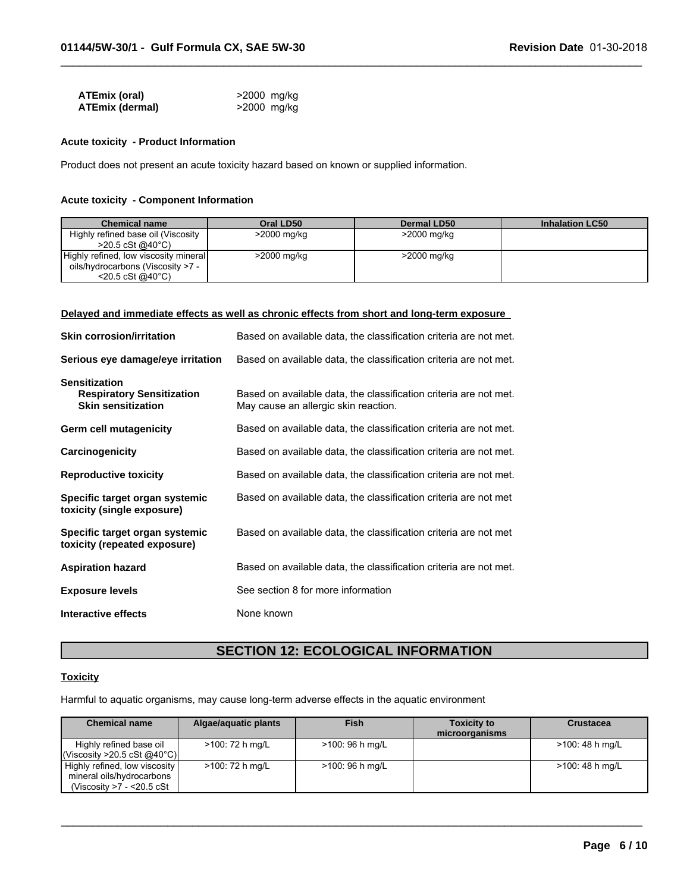| ATEmix (oral)          | >2000 mg/kg |
|------------------------|-------------|
| <b>ATEmix (dermal)</b> | >2000 mg/kg |

#### **Acute toxicity - Product Information**

Product does not present an acute toxicity hazard based on known or supplied information.

#### **Acute toxicity - Component Information**

| <b>Chemical name</b>                                                                                         | Oral LD50   | Dermal LD50 | <b>Inhalation LC50</b> |
|--------------------------------------------------------------------------------------------------------------|-------------|-------------|------------------------|
| Highly refined base oil (Viscosity<br>$>$ 20.5 cSt @40°C)                                                    | >2000 mg/kg | >2000 mg/kg |                        |
| Highly refined, low viscosity mineral<br>oils/hydrocarbons (Viscosity >7 -<br>$<$ 20.5 cSt @40 $^{\circ}$ C) | >2000 mg/kg | >2000 mg/kg |                        |

 $\_$  ,  $\_$  ,  $\_$  ,  $\_$  ,  $\_$  ,  $\_$  ,  $\_$  ,  $\_$  ,  $\_$  ,  $\_$  ,  $\_$  ,  $\_$  ,  $\_$  ,  $\_$  ,  $\_$  ,  $\_$  ,  $\_$  ,  $\_$  ,  $\_$  ,  $\_$  ,  $\_$  ,  $\_$  ,  $\_$  ,  $\_$  ,  $\_$  ,  $\_$  ,  $\_$  ,  $\_$  ,  $\_$  ,  $\_$  ,  $\_$  ,  $\_$  ,  $\_$  ,  $\_$  ,  $\_$  ,  $\_$  ,  $\_$  ,

#### **Delayed and immediate effects as well as chronic effects from short and long-term exposure**

| <b>Skin corrosion/irritation</b>                                                      | Based on available data, the classification criteria are not met.                                         |
|---------------------------------------------------------------------------------------|-----------------------------------------------------------------------------------------------------------|
| Serious eye damage/eye irritation                                                     | Based on available data, the classification criteria are not met.                                         |
| <b>Sensitization</b><br><b>Respiratory Sensitization</b><br><b>Skin sensitization</b> | Based on available data, the classification criteria are not met.<br>May cause an allergic skin reaction. |
| Germ cell mutagenicity                                                                | Based on available data, the classification criteria are not met.                                         |
| Carcinogenicity                                                                       | Based on available data, the classification criteria are not met.                                         |
| <b>Reproductive toxicity</b>                                                          | Based on available data, the classification criteria are not met.                                         |
| Specific target organ systemic<br>toxicity (single exposure)                          | Based on available data, the classification criteria are not met                                          |
| Specific target organ systemic<br>toxicity (repeated exposure)                        | Based on available data, the classification criteria are not met                                          |
| <b>Aspiration hazard</b>                                                              | Based on available data, the classification criteria are not met.                                         |
| <b>Exposure levels</b>                                                                | See section 8 for more information                                                                        |
| Interactive effects                                                                   | None known                                                                                                |

# **SECTION 12: ECOLOGICAL INFORMATION**

### **Toxicity**

Harmful to aquatic organisms, may cause long-term adverse effects in the aquatic environment

| <b>Chemical name</b>                                                                    | Algae/aquatic plants | Fish            | <b>Toxicity to</b><br>microorganisms | <b>Crustacea</b> |
|-----------------------------------------------------------------------------------------|----------------------|-----------------|--------------------------------------|------------------|
| Highly refined base oil<br>$ $ (Viscosity >20.5 cSt @40°C)                              | >100: 72 h mg/L      | >100: 96 h mg/L |                                      | >100: 48 h mg/L  |
| Highly refined, low viscosity<br>mineral oils/hydrocarbons<br>(Viscosity >7 - <20.5 cSt | >100: 72 h mg/L      | >100: 96 h mg/L |                                      | >100: 48 h mg/L  |

 $\_$  , and the contribution of the contribution of the contribution of the contribution of the contribution of  $\mathcal{L}_\text{max}$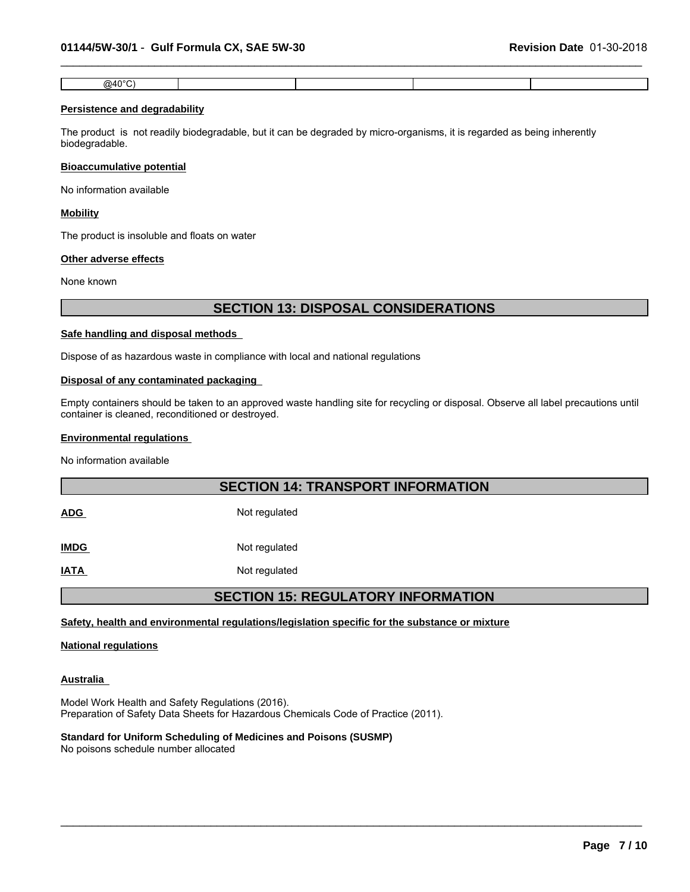| ത⊿∩∘ി<br>ື<br>. . |  |  |
|-------------------|--|--|

 $\_$  ,  $\_$  ,  $\_$  ,  $\_$  ,  $\_$  ,  $\_$  ,  $\_$  ,  $\_$  ,  $\_$  ,  $\_$  ,  $\_$  ,  $\_$  ,  $\_$  ,  $\_$  ,  $\_$  ,  $\_$  ,  $\_$  ,  $\_$  ,  $\_$  ,  $\_$  ,  $\_$  ,  $\_$  ,  $\_$  ,  $\_$  ,  $\_$  ,  $\_$  ,  $\_$  ,  $\_$  ,  $\_$  ,  $\_$  ,  $\_$  ,  $\_$  ,  $\_$  ,  $\_$  ,  $\_$  ,  $\_$  ,  $\_$  ,

#### **Persistence and degradability**

The product is not readily biodegradable, but it can be degraded by micro-organisms, it is regarded as being inherently biodegradable.

#### **Bioaccumulative potential**

No information available

#### **Mobility**

The product is insoluble and floats on water

#### **Other adverse effects**

None known

### **SECTION 13: DISPOSAL CONSIDERATIONS**

#### **Safe handling and disposal methods**

Dispose of as hazardous waste in compliance with local and national regulations

#### **Disposal of any contaminated packaging**

Empty containers should be taken to an approved waste handling site for recycling or disposal. Observe all label precautions until container is cleaned, reconditioned or destroyed.

#### **Environmental regulations**

No information available

# **SECTION 14: TRANSPORT INFORMATION**

ADG Not regulated

**IMDG** Not regulated

**IATA** Not regulated

# **SECTION 15: REGULATORY INFORMATION**

 $\_$  ,  $\_$  ,  $\_$  ,  $\_$  ,  $\_$  ,  $\_$  ,  $\_$  ,  $\_$  ,  $\_$  ,  $\_$  ,  $\_$  ,  $\_$  ,  $\_$  ,  $\_$  ,  $\_$  ,  $\_$  ,  $\_$  ,  $\_$  ,  $\_$  ,  $\_$  ,  $\_$  ,  $\_$  ,  $\_$  ,  $\_$  ,  $\_$  ,  $\_$  ,  $\_$  ,  $\_$  ,  $\_$  ,  $\_$  ,  $\_$  ,  $\_$  ,  $\_$  ,  $\_$  ,  $\_$  ,  $\_$  ,  $\_$  ,

#### **Safety, health and environmental regulations/legislation specific for the substance or mixture**

#### **National regulations**

#### **Australia**

Model Work Health and Safety Regulations (2016). Preparation of Safety Data Sheets for Hazardous Chemicals Code of Practice (2011).

### **Standard for Uniform Scheduling of Medicines and Poisons (SUSMP)**

No poisons schedule number allocated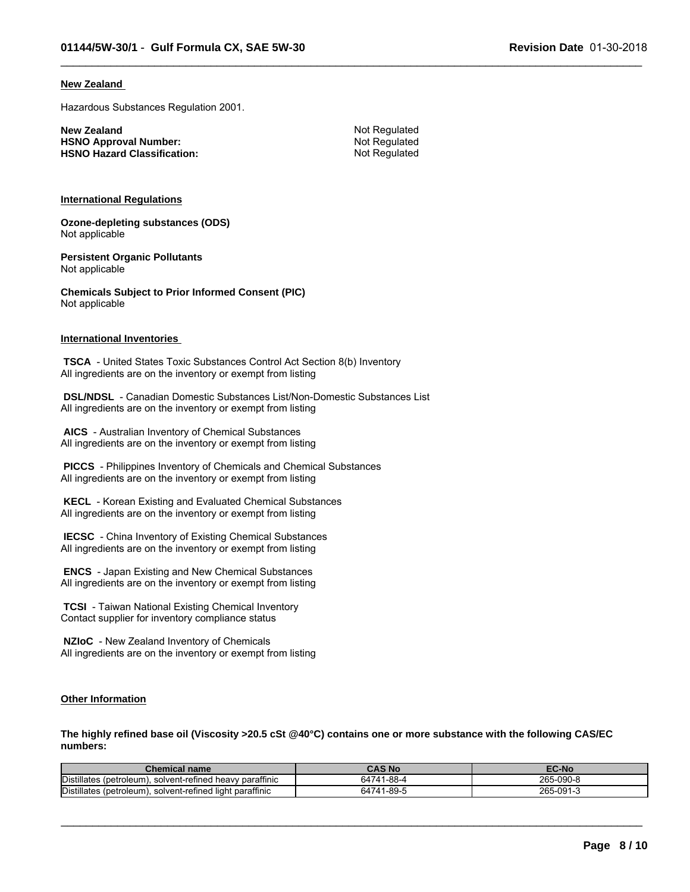#### **New Zealand**

Hazardous Substances Regulation 2001.

**New Zealand** Not Regulated<br> **HSNO Approval Number:** Not Regulated Not Regulated **HSNO Approval Number: HSNO Hazard Classification:** Not Regulated

 $\_$  ,  $\_$  ,  $\_$  ,  $\_$  ,  $\_$  ,  $\_$  ,  $\_$  ,  $\_$  ,  $\_$  ,  $\_$  ,  $\_$  ,  $\_$  ,  $\_$  ,  $\_$  ,  $\_$  ,  $\_$  ,  $\_$  ,  $\_$  ,  $\_$  ,  $\_$  ,  $\_$  ,  $\_$  ,  $\_$  ,  $\_$  ,  $\_$  ,  $\_$  ,  $\_$  ,  $\_$  ,  $\_$  ,  $\_$  ,  $\_$  ,  $\_$  ,  $\_$  ,  $\_$  ,  $\_$  ,  $\_$  ,  $\_$  ,

#### **International Regulations**

**Ozone-depleting substances (ODS)** Not applicable

**Persistent Organic Pollutants** Not applicable

**Chemicals Subject to Prior Informed Consent (PIC)** Not applicable

#### **International Inventories**

 **TSCA** - United States Toxic Substances Control Act Section 8(b) Inventory All ingredients are on the inventory or exempt from listing

 **DSL/NDSL** - Canadian Domestic Substances List/Non-Domestic Substances List All ingredients are on the inventory or exempt from listing

 **AICS** - Australian Inventory of Chemical Substances All ingredients are on the inventory or exempt from listing

 **PICCS** - Philippines Inventory of Chemicals and Chemical Substances All ingredients are on the inventory or exempt from listing

 **KECL** - Korean Existing and Evaluated Chemical Substances All ingredients are on the inventory or exempt from listing

 **IECSC** - China Inventory of Existing Chemical Substances All ingredients are on the inventory or exempt from listing

 **ENCS** - Japan Existing and New Chemical Substances All ingredients are on the inventory or exempt from listing

 **TCSI** - Taiwan National Existing Chemical Inventory Contact supplier for inventory compliance status

 **NZIoC** - New Zealand Inventory of Chemicals All ingredients are on the inventory or exempt from listing

#### **Other Information**

**The highly refined base oil (Viscosity >20.5 cSt @40°C) contains one or more substance with the following CAS/EC numbers:**

| Chemical name                                                    | <b>CAS No</b>        | ∠C-No                    |
|------------------------------------------------------------------|----------------------|--------------------------|
| Distillates (petroleum)<br>. solvent-refined heavy paraffinic    | 64741-88-4           | 265<br>$\sim$<br>5-090-4 |
| Distillates<br>, solvent-refined light paraffinic<br>(petroleum) | <sub>64741-89-</sub> | 265<br>5-091-            |

 $\_$  ,  $\_$  ,  $\_$  ,  $\_$  ,  $\_$  ,  $\_$  ,  $\_$  ,  $\_$  ,  $\_$  ,  $\_$  ,  $\_$  ,  $\_$  ,  $\_$  ,  $\_$  ,  $\_$  ,  $\_$  ,  $\_$  ,  $\_$  ,  $\_$  ,  $\_$  ,  $\_$  ,  $\_$  ,  $\_$  ,  $\_$  ,  $\_$  ,  $\_$  ,  $\_$  ,  $\_$  ,  $\_$  ,  $\_$  ,  $\_$  ,  $\_$  ,  $\_$  ,  $\_$  ,  $\_$  ,  $\_$  ,  $\_$  ,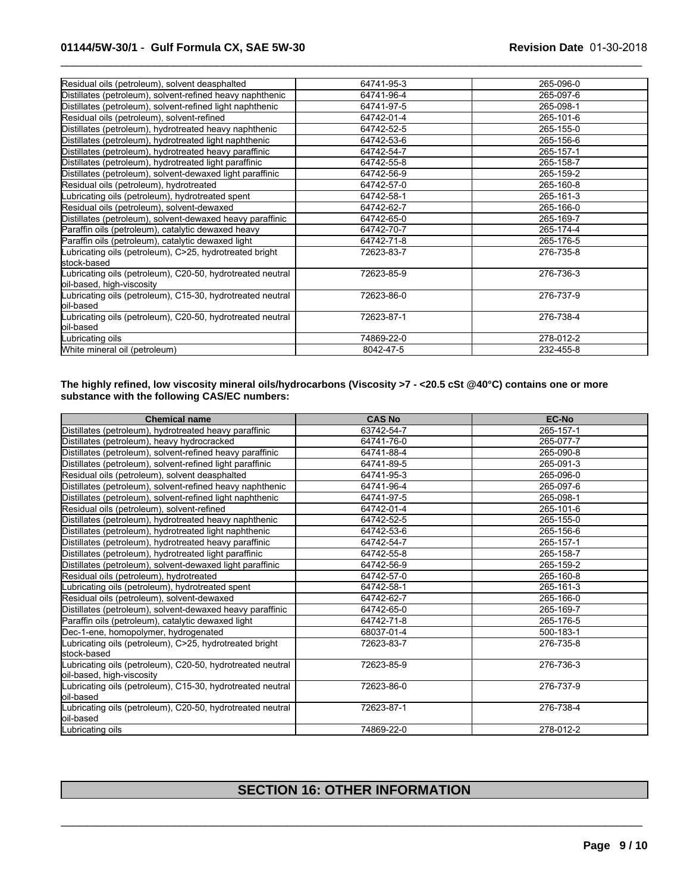| Residual oils (petroleum), solvent deasphalted                                          | 64741-95-3 | 265-096-0 |
|-----------------------------------------------------------------------------------------|------------|-----------|
| Distillates (petroleum), solvent-refined heavy naphthenic                               | 64741-96-4 | 265-097-6 |
| Distillates (petroleum), solvent-refined light naphthenic                               | 64741-97-5 | 265-098-1 |
| Residual oils (petroleum), solvent-refined                                              | 64742-01-4 | 265-101-6 |
| Distillates (petroleum), hydrotreated heavy naphthenic                                  | 64742-52-5 | 265-155-0 |
| Distillates (petroleum), hydrotreated light naphthenic                                  | 64742-53-6 | 265-156-6 |
| Distillates (petroleum), hydrotreated heavy paraffinic                                  | 64742-54-7 | 265-157-1 |
| Distillates (petroleum), hydrotreated light paraffinic                                  | 64742-55-8 | 265-158-7 |
| Distillates (petroleum), solvent-dewaxed light paraffinic                               | 64742-56-9 | 265-159-2 |
| Residual oils (petroleum), hydrotreated                                                 | 64742-57-0 | 265-160-8 |
| Lubricating oils (petroleum), hydrotreated spent                                        | 64742-58-1 | 265-161-3 |
| Residual oils (petroleum), solvent-dewaxed                                              | 64742-62-7 | 265-166-0 |
| Distillates (petroleum), solvent-dewaxed heavy paraffinic                               | 64742-65-0 | 265-169-7 |
| Paraffin oils (petroleum), catalytic dewaxed heavy                                      | 64742-70-7 | 265-174-4 |
| Paraffin oils (petroleum), catalytic dewaxed light                                      | 64742-71-8 | 265-176-5 |
| Lubricating oils (petroleum), C>25, hydrotreated bright<br>lstock-based                 | 72623-83-7 | 276-735-8 |
| Lubricating oils (petroleum), C20-50, hydrotreated neutral<br>oil-based, high-viscosity | 72623-85-9 | 276-736-3 |
| Lubricating oils (petroleum), C15-30, hydrotreated neutral                              | 72623-86-0 | 276-737-9 |
| loil-based                                                                              | 72623-87-1 | 276-738-4 |
| Lubricating oils (petroleum), C20-50, hydrotreated neutral<br>oil-based                 |            |           |
|                                                                                         | 74869-22-0 | 278-012-2 |
| Lubricating oils                                                                        |            |           |
| White mineral oil (petroleum)                                                           | 8042-47-5  | 232-455-8 |

 $\_$  ,  $\_$  ,  $\_$  ,  $\_$  ,  $\_$  ,  $\_$  ,  $\_$  ,  $\_$  ,  $\_$  ,  $\_$  ,  $\_$  ,  $\_$  ,  $\_$  ,  $\_$  ,  $\_$  ,  $\_$  ,  $\_$  ,  $\_$  ,  $\_$  ,  $\_$  ,  $\_$  ,  $\_$  ,  $\_$  ,  $\_$  ,  $\_$  ,  $\_$  ,  $\_$  ,  $\_$  ,  $\_$  ,  $\_$  ,  $\_$  ,  $\_$  ,  $\_$  ,  $\_$  ,  $\_$  ,  $\_$  ,  $\_$  ,

#### **The highly refined, low viscosity mineral oils/hydrocarbons (Viscosity >7 - <20.5 cSt @40°C) contains one or more substance with the following CAS/EC numbers:**

| <b>Chemical name</b>                                                                    | <b>CAS No</b> | <b>EC-No</b> |
|-----------------------------------------------------------------------------------------|---------------|--------------|
| Distillates (petroleum), hydrotreated heavy paraffinic                                  | 63742-54-7    | 265-157-1    |
| Distillates (petroleum), heavy hydrocracked                                             | 64741-76-0    | 265-077-7    |
| Distillates (petroleum), solvent-refined heavy paraffinic                               | 64741-88-4    | 265-090-8    |
| Distillates (petroleum), solvent-refined light paraffinic                               | 64741-89-5    | 265-091-3    |
| Residual oils (petroleum), solvent deasphalted                                          | 64741-95-3    | 265-096-0    |
| Distillates (petroleum), solvent-refined heavy naphthenic                               | 64741-96-4    | 265-097-6    |
| Distillates (petroleum), solvent-refined light naphthenic                               | 64741-97-5    | 265-098-1    |
| Residual oils (petroleum), solvent-refined                                              | 64742-01-4    | 265-101-6    |
| Distillates (petroleum), hydrotreated heavy naphthenic                                  | 64742-52-5    | 265-155-0    |
| Distillates (petroleum), hydrotreated light naphthenic                                  | 64742-53-6    | 265-156-6    |
| Distillates (petroleum), hydrotreated heavy paraffinic                                  | 64742-54-7    | 265-157-1    |
| Distillates (petroleum), hydrotreated light paraffinic                                  | 64742-55-8    | 265-158-7    |
| Distillates (petroleum), solvent-dewaxed light paraffinic                               | 64742-56-9    | 265-159-2    |
| Residual oils (petroleum), hydrotreated                                                 | 64742-57-0    | 265-160-8    |
| Lubricating oils (petroleum), hydrotreated spent                                        | 64742-58-1    | 265-161-3    |
| Residual oils (petroleum), solvent-dewaxed                                              | 64742-62-7    | 265-166-0    |
| Distillates (petroleum), solvent-dewaxed heavy paraffinic                               | 64742-65-0    | 265-169-7    |
| Paraffin oils (petroleum), catalytic dewaxed light                                      | 64742-71-8    | 265-176-5    |
| Dec-1-ene, homopolymer, hydrogenated                                                    | 68037-01-4    | 500-183-1    |
| Lubricating oils (petroleum), C>25, hydrotreated bright<br>stock-based                  | 72623-83-7    | 276-735-8    |
| Lubricating oils (petroleum), C20-50, hydrotreated neutral<br>oil-based, high-viscosity | 72623-85-9    | 276-736-3    |
| Lubricating oils (petroleum), C15-30, hydrotreated neutral<br>loil-based                | 72623-86-0    | 276-737-9    |
| Lubricating oils (petroleum), C20-50, hydrotreated neutral<br>loil-based                | 72623-87-1    | 276-738-4    |
| Lubricating oils                                                                        | 74869-22-0    | 278-012-2    |

# **SECTION 16: OTHER INFORMATION**

 $\_$  ,  $\_$  ,  $\_$  ,  $\_$  ,  $\_$  ,  $\_$  ,  $\_$  ,  $\_$  ,  $\_$  ,  $\_$  ,  $\_$  ,  $\_$  ,  $\_$  ,  $\_$  ,  $\_$  ,  $\_$  ,  $\_$  ,  $\_$  ,  $\_$  ,  $\_$  ,  $\_$  ,  $\_$  ,  $\_$  ,  $\_$  ,  $\_$  ,  $\_$  ,  $\_$  ,  $\_$  ,  $\_$  ,  $\_$  ,  $\_$  ,  $\_$  ,  $\_$  ,  $\_$  ,  $\_$  ,  $\_$  ,  $\_$  ,